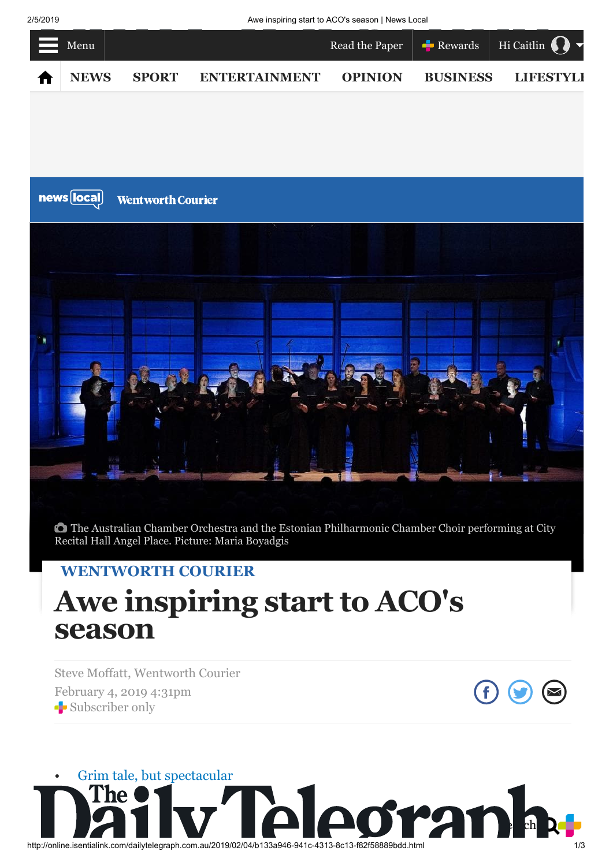2/5/2019 Awe inspiring start to ACO's season | News Local



The Australian Chamber Orchestra and the Estonian Philharmonic Chamber Choir performing at City Recital Hall Angel Place. Picture: Maria Boyadgis

## **[WENTWORTH COURIER](http://www.dailytelegraph.com.au/newslocal/wentworth-courier)**

## **Awe inspiring start to ACO's season**

Steve Moffatt, Wentworth Courier February 4, 2019 4:31pm Subscriber only



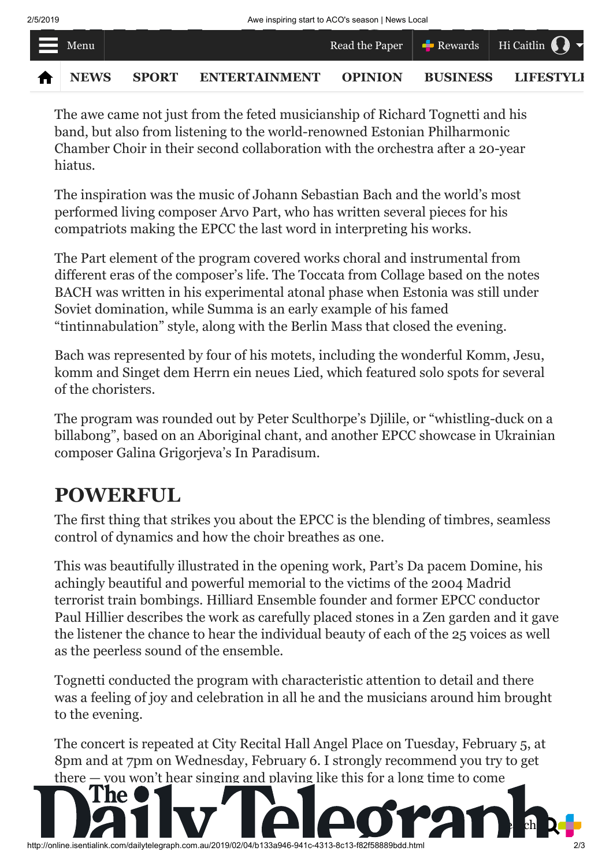

The awe came not just from the feted musicianship of Richard Tognetti and his band, but also from listening to the world-renowned Estonian Philharmonic Chamber Choir in their second collaboration with the orchestra after a 20-year hiatus.

The inspiration was the music of Johann Sebastian Bach and the world's most performed living composer Arvo Part, who has written several pieces for his compatriots making the EPCC the last word in interpreting his works.

The Part element of the program covered works choral and instrumental from different eras of the composer's life. The Toccata from Collage based on the notes BACH was written in his experimental atonal phase when Estonia was still under Soviet domination, while Summa is an early example of his famed "tintinnabulation" style, along with the Berlin Mass that closed the evening.

Bach was represented by four of his motets, including the wonderful Komm, Jesu, komm and Singet dem Herrn ein neues Lied, which featured solo spots for several of the choristers.

The program was rounded out by Peter Sculthorpe's Djilile, or "whistling-duck on a billabong", based on an Aboriginal chant, and another EPCC showcase in Ukrainian composer Galina Grigorjeva's In Paradisum.

## **POWERFUL**

The first thing that strikes you about the EPCC is the blending of timbres, seamless control of dynamics and how the choir breathes as one.

This was beautifully illustrated in the opening work, Part's Da pacem Domine, his achingly beautiful and powerful memorial to the victims of the 2004 Madrid terrorist train bombings. Hilliard Ensemble founder and former EPCC conductor Paul Hillier describes the work as carefully placed stones in a Zen garden and it gave the listener the chance to hear the individual beauty of each of the 25 voices as well as the peerless sound of the ensemble.

Tognetti conducted the program with characteristic attention to detail and there was a feeling of joy and celebration in all he and the musicians around him brought to the evening.

The concert is repeated at City Recital Hall Angel Place on Tuesday, February 5, at 8pm and at 7pm on Wednesday, February 6. I strongly recommend you try to get there — you won't hear singing and playing like this for a long time to come